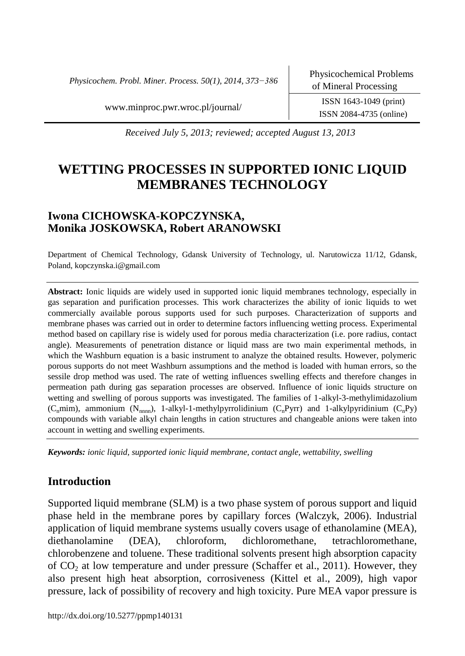*Physicochem. Probl. Miner. Process. 50(1), 2014, 373−386*

ISSN 2084-4735 (online)

[www.minproc.pwr.wroc.pl/journal/](http://www.minproc.pwr.wroc.pl/journal/) ISSN 1643-1049 (print)

*Received July 5, 2013; reviewed; accepted August 13, 2013*

# **WETTING PROCESSES IN SUPPORTED IONIC LIQUID MEMBRANES TECHNOLOGY**

# **Iwona CICHOWSKA-KOPCZYNSKA, Monika JOSKOWSKA, Robert ARANOWSKI**

Department of Chemical Technology, Gdansk University of Technology, ul. Narutowicza 11/12, Gdansk, Poland, kopczynska.i@gmail.com

**Abstract:** Ionic liquids are widely used in supported ionic liquid membranes technology, especially in gas separation and purification processes. This work characterizes the ability of ionic liquids to wet commercially available porous supports used for such purposes. Characterization of supports and membrane phases was carried out in order to determine factors influencing wetting process. Experimental method based on capillary rise is widely used for porous media characterization (i.e. pore radius, contact angle). Measurements of penetration distance or liquid mass are two main experimental methods, in which the Washburn equation is a basic instrument to analyze the obtained results. However, polymeric porous supports do not meet Washburn assumptions and the method is loaded with human errors, so the sessile drop method was used. The rate of wetting influences swelling effects and therefore changes in permeation path during gas separation processes are observed. Influence of ionic liquids structure on wetting and swelling of porous supports was investigated. The families of 1-alkyl-3-methylimidazolium (C<sub>n</sub>mim), ammonium (N<sub>nnnn</sub>), 1-alkyl-1-methylpyrrolidinium (C<sub>n</sub>Pyrr) and 1-alkylpyridinium (C<sub>n</sub>Py) compounds with variable alkyl chain lengths in cation structures and changeable anions were taken into account in wetting and swelling experiments.

*Keywords: ionic liquid, supported ionic liquid membrane, contact angle, wettability, swelling* 

# **Introduction**

Supported liquid membrane (SLM) is a two phase system of porous support and liquid phase held in the membrane pores by capillary forces (Walczyk, 2006). Industrial application of liquid membrane systems usually covers usage of ethanolamine (MEA), diethanolamine (DEA), chloroform, dichloromethane, tetrachloromethane, chlorobenzene and toluene. These traditional solvents present high absorption capacity of  $CO<sub>2</sub>$  at low temperature and under pressure (Schaffer et al., 2011). However, they also present high heat absorption, corrosiveness (Kittel et al., 2009), high vapor pressure, lack of possibility of recovery and high toxicity. Pure MEA vapor pressure is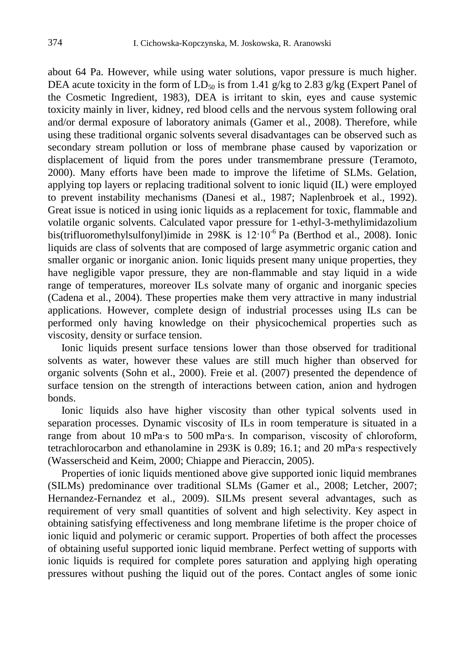about 64 Pa. However, while using water solutions, vapor pressure is much higher. DEA acute toxicity in the form of  $LD_{50}$  is from 1.41 g/kg to 2.83 g/kg (Expert Panel of the Cosmetic Ingredient, 1983), DEA is irritant to skin, eyes and cause systemic toxicity mainly in liver, kidney, red blood cells and the nervous system following oral and/or dermal exposure of laboratory animals (Gamer et al., 2008). Therefore, while using these traditional organic solvents several disadvantages can be observed such as secondary stream pollution or loss of membrane phase caused by vaporization or displacement of liquid from the pores under transmembrane pressure (Teramoto, 2000). Many efforts have been made to improve the lifetime of SLMs. Gelation, applying top layers or replacing traditional solvent to ionic liquid (IL) were employed to prevent instability mechanisms (Danesi et al., 1987; Naplenbroek et al., 1992). Great issue is noticed in using ionic liquids as a replacement for toxic, flammable and volatile organic solvents. Calculated vapor pressure for 1-ethyl-3-methylimidazolium bis(trifluoromethylsulfonyl)imide in 298K is  $12 \cdot 10^{-6}$  Pa (Berthod et al., 2008). Ionic liquids are class of solvents that are composed of large asymmetric organic cation and smaller organic or inorganic anion. Ionic liquids present many unique properties, they have negligible vapor pressure, they are non-flammable and stay liquid in a wide range of temperatures, moreover ILs solvate many of organic and inorganic species (Cadena et al., 2004). These properties make them very attractive in many industrial applications. However, complete design of industrial processes using ILs can be performed only having knowledge on their physicochemical properties such as viscosity, density or surface tension.

Ionic liquids present surface tensions lower than those observed for traditional solvents as water, however these values are still much higher than observed for organic solvents (Sohn et al., 2000). Freie et al. (2007) presented the dependence of surface tension on the strength of interactions between cation, anion and hydrogen bonds.

Ionic liquids also have higher viscosity than other typical solvents used in separation processes. Dynamic viscosity of ILs in room temperature is situated in a range from about 10 mPa∙s to 500 mPa∙s. In comparison, viscosity of chloroform, tetrachlorocarbon and ethanolamine in 293K is 0.89; 16.1; and 20 mPa∙s respectively (Wasserscheid and Keim, 2000; Chiappe and Pieraccin, 2005).

Properties of ionic liquids mentioned above give supported ionic liquid membranes (SILMs) predominance over traditional SLMs (Gamer et al., 2008; Letcher, 2007; Hernandez-Fernandez et al., 2009). SILMs present several advantages, such as requirement of very small quantities of solvent and high selectivity. Key aspect in obtaining satisfying effectiveness and long membrane lifetime is the proper choice of ionic liquid and polymeric or ceramic support. Properties of both affect the processes of obtaining useful supported ionic liquid membrane. Perfect wetting of supports with ionic liquids is required for complete pores saturation and applying high operating pressures without pushing the liquid out of the pores. Contact angles of some ionic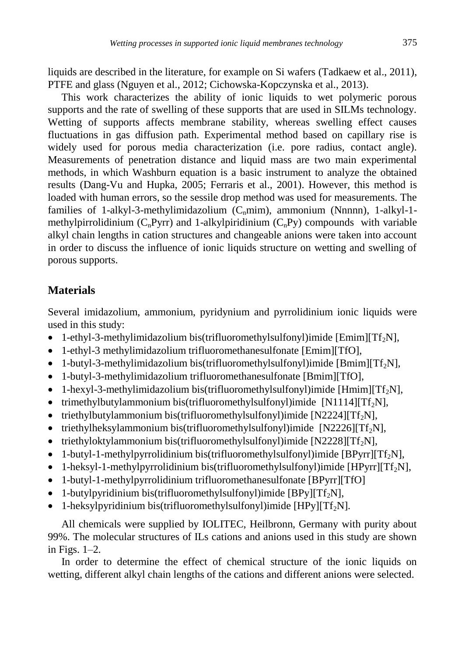liquids are described in the literature, for example on Si wafers (Tadkaew et al., 2011), PTFE and glass (Nguyen et al., 2012; Cichowska-Kopczynska et al., 2013).

This work characterizes the ability of ionic liquids to wet polymeric porous supports and the rate of swelling of these supports that are used in SILMs technology. Wetting of supports affects membrane stability, whereas swelling effect causes fluctuations in gas diffusion path. Experimental method based on capillary rise is widely used for porous media characterization (i.e. pore radius, contact angle). Measurements of penetration distance and liquid mass are two main experimental methods, in which Washburn equation is a basic instrument to analyze the obtained results (Dang-Vu and Hupka, 2005; Ferraris et al., 2001). However, this method is loaded with human errors, so the sessile drop method was used for measurements. The families of 1-alkyl-3-methylimidazolium  $(C_nmin)$ , ammonium (Nnnnn), 1-alkyl-1methylpirrolidinium  $(C_nPyrr)$  and 1-alkylpiridinium  $(C_nPy)$  compounds with variable alkyl chain lengths in cation structures and changeable anions were taken into account in order to discuss the influence of ionic liquids structure on wetting and swelling of porous supports.

# **Materials**

Several imidazolium, ammonium, pyridynium and pyrrolidinium ionic liquids were used in this study:

- 1-ethyl-3-methylimidazolium bis(trifluoromethylsulfonyl)imide [Emim][Tf<sub>2</sub>N],
- 1-ethyl-3 methylimidazolium trifluoromethanesulfonate [Emim][TfO],
- 1-butyl-3-methylimidazolium bis(trifluoromethylsulfonyl)imide [Bmim][Tf<sub>2</sub>N],
- 1-butyl-3-methylimidazolium trifluoromethanesulfonate [Bmim][TfO],
- 1-hexyl-3-methylimidazolium bis(trifluoromethylsulfonyl)imide [Hmim][Tf<sub>2</sub>N],
- trimethylbutylammonium bis(trifluoromethylsulfonyl)imide [N1114][Tf<sub>2</sub>N],
- triethylbutylammonium bis(trifluoromethylsulfonyl)imide [N2224][Tf<sub>2</sub>N],
- triethylheksylammonium bis(trifluoromethylsulfonyl)imide  $[N2226][Tf_2N]$ ,
- triethyloktylammonium bis(trifluoromethylsulfonyl)imide [N2228][Tf<sub>2</sub>N],
- 1-butyl-1-methylpyrrolidinium bis(trifluoromethylsulfonyl)imide [BPyrr][Tf<sub>2</sub>N],
- 1-heksyl-1-methylpyrrolidinium bis(trifluoromethylsulfonyl)imide [HPyrr][Tf<sub>2</sub>N],
- 1-butyl-1-methylpyrrolidinium trifluoromethanesulfonate [BPyrr][TfO]
- 1-butylpyridinium bis(trifluoromethylsulfonyl)imide  $[BPv][Tf_2N]$ ,
- 1-heksylpyridinium bis(trifluoromethylsulfonyl)imide  $[HPy][Tf_2N]$ .

All chemicals were supplied by IOLITEC, Heilbronn, Germany with purity about 99%. The molecular structures of ILs cations and anions used in this study are shown in Figs. 1–2.

In order to determine the effect of chemical structure of the ionic liquids on wetting, different alkyl chain lengths of the cations and different anions were selected.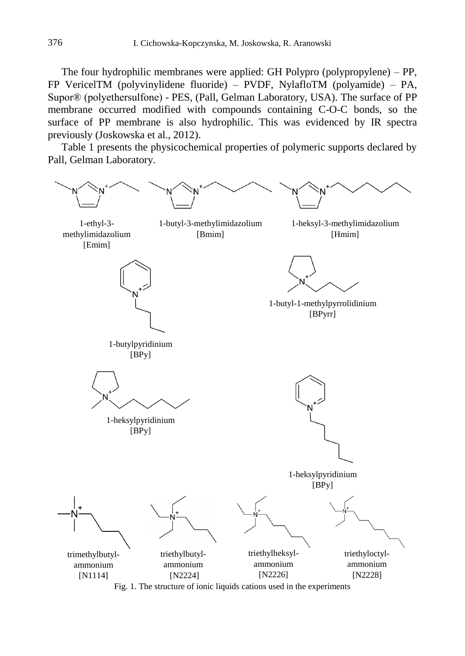The four hydrophilic membranes were applied: GH Polypro (polypropylene) – PP, FP VericelTM (polyvinylidene fluoride) – PVDF, NylafloTM (polyamide) – PA, Supor® (polyethersulfone) - PES, (Pall, Gelman Laboratory, USA). The surface of PP membrane occurred modified with compounds containing C-O-C bonds, so the surface of PP membrane is also hydrophilic. This was evidenced by IR spectra previously (Joskowska et al., 2012).

Table 1 presents the physicochemical properties of polymeric supports declared by Pall, Gelman Laboratory.



Fig. 1. The structure of ionic liquids cations used in the experiments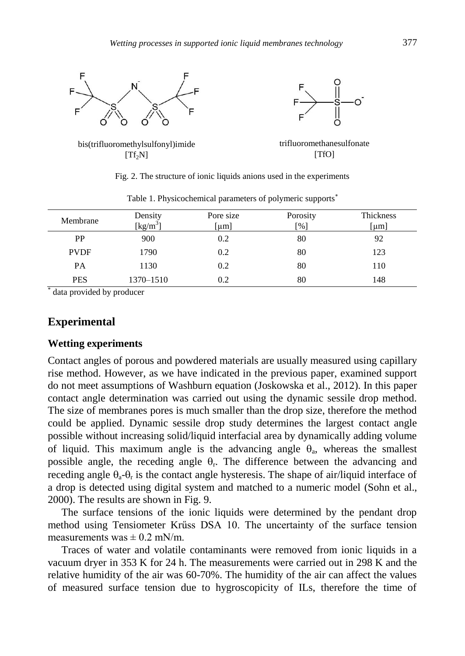

| racio 11 i njerovirenirem parameters er perjinente supporto |                     |           |          |           |
|-------------------------------------------------------------|---------------------|-----------|----------|-----------|
| Membrane                                                    | Density             | Pore size | Porosity | Thickness |
|                                                             | [ $\text{kg/m}^3$ ] | [µm]      | [%]      | [µm]      |
| PP                                                          | 900                 | 0.2       | 80       | 92        |
| <b>PVDF</b>                                                 | 1790                | 0.2       | 80       | 123       |
| PA                                                          | 1130                | 0.2       | 80       | 110       |
| <b>PES</b>                                                  | 1370–1510           | 0.2       | 80       | 148       |

Table 1. Physicochemical parameters of polymeric supports

\* data provided by producer

### **Experimental**

#### **Wetting experiments**

Contact angles of porous and powdered materials are usually measured using capillary rise method. However, as we have indicated in the previous paper, examined support do not meet assumptions of Washburn equation (Joskowska et al., 2012). In this paper contact angle determination was carried out using the dynamic sessile drop method. The size of membranes pores is much smaller than the drop size, therefore the method could be applied. Dynamic sessile drop study determines the largest contact angle possible without increasing solid/liquid interfacial area by dynamically adding volume of liquid. This maximum angle is the advancing angle  $\theta_a$ , whereas the smallest possible angle, the receding angle  $\theta_r$ . The difference between the advancing and receding angle  $\theta_a$ - $\theta_r$  is the contact angle hysteresis. The shape of air/liquid interface of a drop is detected using digital system and matched to a numeric model (Sohn et al., 2000). The results are shown in Fig. 9.

The surface tensions of the ionic liquids were determined by the pendant drop method using Tensiometer Krűss DSA 10. The uncertainty of the surface tension measurements was  $\pm$  0.2 mN/m.

Traces of water and volatile contaminants were removed from ionic liquids in a vacuum dryer in 353 K for 24 h. The measurements were carried out in 298 K and the relative humidity of the air was 60-70%. The humidity of the air can affect the values of measured surface tension due to hygroscopicity of ILs, therefore the time of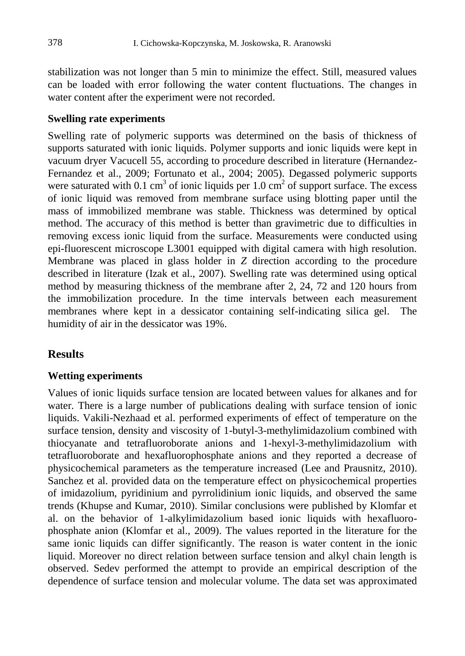stabilization was not longer than 5 min to minimize the effect. Still, measured values can be loaded with error following the water content fluctuations. The changes in water content after the experiment were not recorded.

#### **Swelling rate experiments**

Swelling rate of polymeric supports was determined on the basis of thickness of supports saturated with ionic liquids. Polymer supports and ionic liquids were kept in vacuum dryer Vacucell 55, according to procedure described in literature (Hernandez-Fernandez et al., 2009; Fortunato et al., 2004; 2005). Degassed polymeric supports were saturated with 0.1 cm<sup>3</sup> of ionic liquids per 1.0 cm<sup>2</sup> of support surface. The excess of ionic liquid was removed from membrane surface using blotting paper until the mass of immobilized membrane was stable. Thickness was determined by optical method. The accuracy of this method is better than gravimetric due to difficulties in removing excess ionic liquid from the surface. Measurements were conducted using epi-fluorescent microscope L3001 equipped with digital camera with high resolution. Membrane was placed in glass holder in *Z* direction according to the procedure described in literature (Izak et al., 2007). Swelling rate was determined using optical method by measuring thickness of the membrane after 2, 24, 72 and 120 hours from the immobilization procedure. In the time intervals between each measurement membranes where kept in a dessicator containing self-indicating silica gel. The humidity of air in the dessicator was 19%.

# **Results**

### **Wetting experiments**

Values of ionic liquids surface tension are located between values for alkanes and for water. There is a large number of publications dealing with surface tension of ionic liquids. Vakili-Nezhaad et al. performed experiments of effect of temperature on the surface tension, density and viscosity of 1-butyl-3-methylimidazolium combined with thiocyanate and tetrafluoroborate anions and 1-hexyl-3-methylimidazolium with tetrafluoroborate and hexafluorophosphate anions and they reported a decrease of physicochemical parameters as the temperature increased (Lee and Prausnitz, 2010). Sanchez et al. provided data on the temperature effect on physicochemical properties of imidazolium, pyridinium and pyrrolidinium ionic liquids, and observed the same trends (Khupse and Kumar, 2010). Similar conclusions were published by Klomfar et al. on the behavior of 1-alkylimidazolium based ionic liquids with hexafluorophosphate anion (Klomfar et al., 2009). The values reported in the literature for the same ionic liquids can differ significantly. The reason is water content in the ionic liquid. Moreover no direct relation between surface tension and alkyl chain length is observed. Sedev performed the attempt to provide an empirical description of the dependence of surface tension and molecular volume. The data set was approximated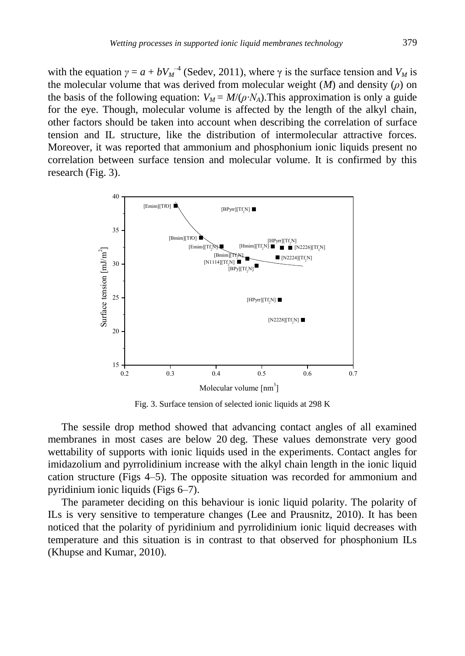with the equation  $\gamma = a + bV_M^{\{-4\}}$  (Sedev, 2011), where  $\gamma$  is the surface tension and  $V_M$  is the molecular volume that was derived from molecular weight (*M*) and density (*ρ*) on the basis of the following equation:  $V_M = M/(\rho \cdot N_A)$ . This approximation is only a guide for the eye. Though, molecular volume is affected by the length of the alkyl chain, other factors should be taken into account when describing the correlation of surface tension and IL structure, like the distribution of intermolecular attractive forces. Moreover, it was reported that ammonium and phosphonium ionic liquids present no correlation between surface tension and molecular volume. It is confirmed by this research (Fig. 3).



Fig. 3. Surface tension of selected ionic liquids at 298 K

The sessile drop method showed that advancing contact angles of all examined membranes in most cases are below 20 deg. These values demonstrate very good wettability of supports with ionic liquids used in the experiments. Contact angles for imidazolium and pyrrolidinium increase with the alkyl chain length in the ionic liquid cation structure (Figs 4–5). The opposite situation was recorded for ammonium and pyridinium ionic liquids (Figs 6–7).

The parameter deciding on this behaviour is ionic liquid polarity. The polarity of ILs is very sensitive to temperature changes (Lee and Prausnitz, 2010). It has been noticed that the polarity of pyridinium and pyrrolidinium ionic liquid decreases with temperature and this situation is in contrast to that observed for phosphonium ILs (Khupse and Kumar, 2010).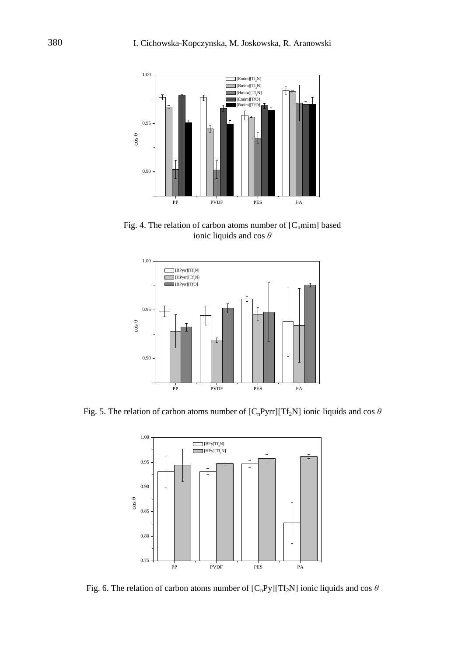

Fig. 4. The relation of carbon atoms number of  $[C_nmin]$  based ionic liquids and cos *θ*



Fig. 5. The relation of carbon atoms number of  $[C_nPyrr][Tf_2N]$  ionic liquids and cos  $\theta$ 



Fig. 6. The relation of carbon atoms number of  $[C_nPy][Tf_2N]$  ionic liquids and cos  $\theta$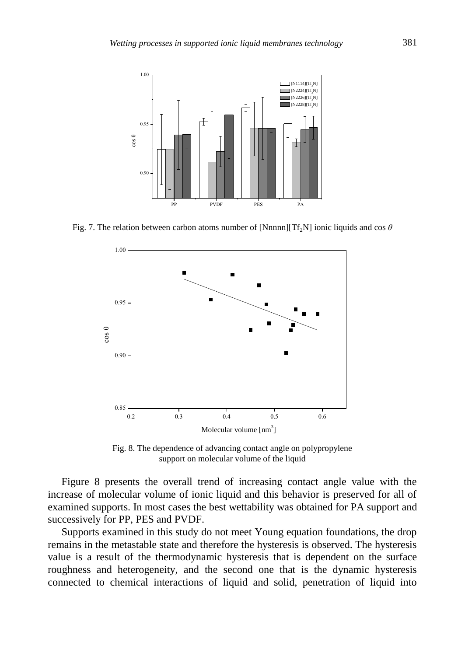

Fig. 7. The relation between carbon atoms number of [Nnnnn][Tf<sub>2</sub>N] ionic liquids and cos  $\theta$ 



Fig. 8. The dependence of advancing contact angle on polypropylene support on molecular volume of the liquid

Figure 8 presents the overall trend of increasing contact angle value with the increase of molecular volume of ionic liquid and this behavior is preserved for all of examined supports. In most cases the best wettability was obtained for PA support and successively for PP, PES and PVDF.

Supports examined in this study do not meet Young equation foundations, the drop remains in the metastable state and therefore the hysteresis is observed. The hysteresis value is a result of the thermodynamic hysteresis that is dependent on the surface roughness and heterogeneity, and the second one that is the dynamic hysteresis connected to chemical interactions of liquid and solid, penetration of liquid into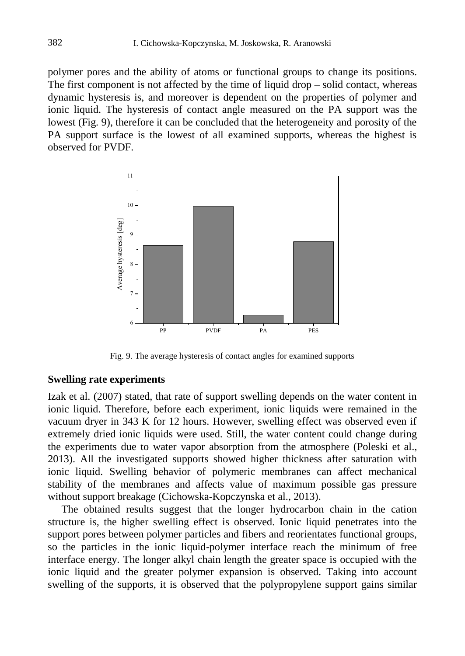polymer pores and the ability of atoms or functional groups to change its positions. The first component is not affected by the time of liquid drop – solid contact, whereas dynamic hysteresis is, and moreover is dependent on the properties of polymer and ionic liquid. The hysteresis of contact angle measured on the PA support was the lowest (Fig. 9), therefore it can be concluded that the heterogeneity and porosity of the PA support surface is the lowest of all examined supports, whereas the highest is observed for PVDF.



Fig. 9. The average hysteresis of contact angles for examined supports

## **Swelling rate experiments**

Izak et al. (2007) stated, that rate of support swelling depends on the water content in ionic liquid. Therefore, before each experiment, ionic liquids were remained in the vacuum dryer in 343 K for 12 hours. However, swelling effect was observed even if extremely dried ionic liquids were used. Still, the water content could change during the experiments due to water vapor absorption from the atmosphere (Poleski et al., 2013). All the investigated supports showed higher thickness after saturation with ionic liquid. Swelling behavior of polymeric membranes can affect mechanical stability of the membranes and affects value of maximum possible gas pressure without support breakage (Cichowska-Kopczynska et al., 2013).

The obtained results suggest that the longer hydrocarbon chain in the cation structure is, the higher swelling effect is observed. Ionic liquid penetrates into the support pores between polymer particles and fibers and reorientates functional groups, so the particles in the ionic liquid-polymer interface reach the minimum of free interface energy. The longer alkyl chain length the greater space is occupied with the ionic liquid and the greater polymer expansion is observed. Taking into account swelling of the supports, it is observed that the polypropylene support gains similar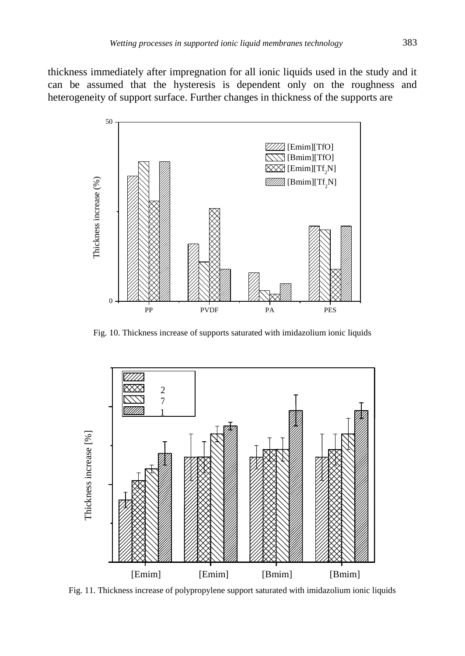thickness immediately after impregnation for all ionic liquids used in the study and it can be assumed that the hysteresis is dependent only on the roughness and heterogeneity of support surface. Further changes in thickness of the supports are



Fig. 10. Thickness increase of supports saturated with imidazolium ionic liquids



Fig. 11. Thickness increase of polypropylene support saturated with imidazolium ionic liquids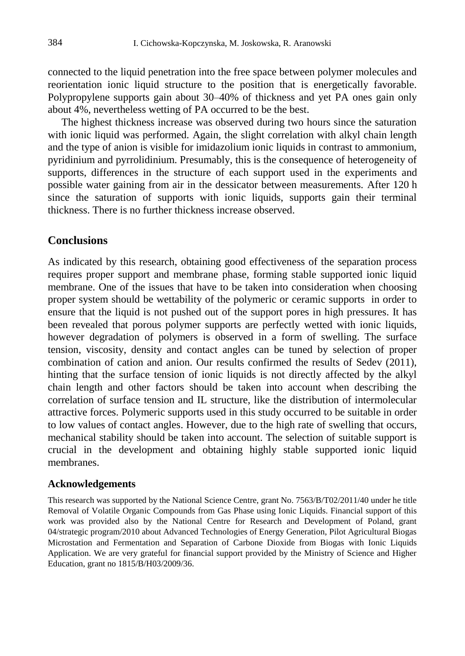connected to the liquid penetration into the free space between polymer molecules and reorientation ionic liquid structure to the position that is energetically favorable. Polypropylene supports gain about 30–40% of thickness and yet PA ones gain only about 4%, nevertheless wetting of PA occurred to be the best.

The highest thickness increase was observed during two hours since the saturation with ionic liquid was performed. Again, the slight correlation with alkyl chain length and the type of anion is visible for imidazolium ionic liquids in contrast to ammonium, pyridinium and pyrrolidinium. Presumably, this is the consequence of heterogeneity of supports, differences in the structure of each support used in the experiments and possible water gaining from air in the dessicator between measurements. After 120 h since the saturation of supports with ionic liquids, supports gain their terminal thickness. There is no further thickness increase observed.

## **Conclusions**

As indicated by this research, obtaining good effectiveness of the separation process requires proper support and membrane phase, forming stable supported ionic liquid membrane. One of the issues that have to be taken into consideration when choosing proper system should be wettability of the polymeric or ceramic supports in order to ensure that the liquid is not pushed out of the support pores in high pressures. It has been revealed that porous polymer supports are perfectly wetted with ionic liquids, however degradation of polymers is observed in a form of swelling. The surface tension, viscosity, density and contact angles can be tuned by selection of proper combination of cation and anion. Our results confirmed the results of Sedev (2011), hinting that the surface tension of ionic liquids is not directly affected by the alkyl chain length and other factors should be taken into account when describing the correlation of surface tension and IL structure, like the distribution of intermolecular attractive forces. Polymeric supports used in this study occurred to be suitable in order to low values of contact angles. However, due to the high rate of swelling that occurs, mechanical stability should be taken into account. The selection of suitable support is crucial in the development and obtaining highly stable supported ionic liquid membranes.

#### **Acknowledgements**

This research was supported by the National Science Centre, grant No. 7563/B/T02/2011/40 under he title Removal of Volatile Organic Compounds from Gas Phase using Ionic Liquids. Financial support of this work was provided also by the National Centre for Research and Development of Poland, grant 04/strategic program/2010 about Advanced Technologies of Energy Generation, Pilot Agricultural Biogas Microstation and Fermentation and Separation of Carbone Dioxide from Biogas with Ionic Liquids Application. We are very grateful for financial support provided by the Ministry of Science and Higher Education, grant no 1815/B/H03/2009/36.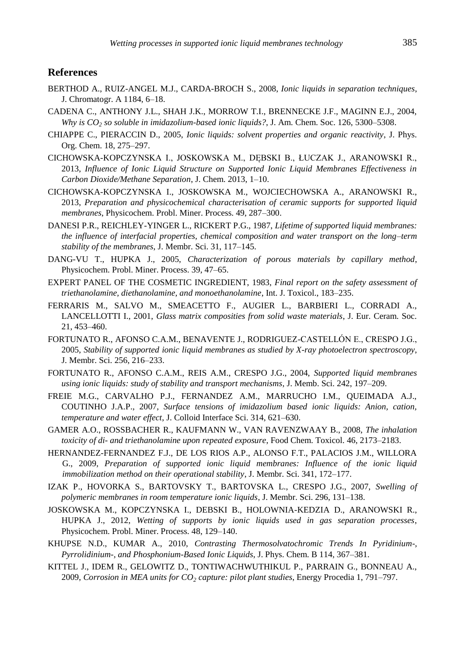#### **References**

- BERTHOD A., RUIZ-ANGEL M.J., CARDA-BROCH S., 2008, *Ionic liquids in separation techniques*, J. Chromatogr. A 1184, 6–18.
- CADENA C., ANTHONY J.L., SHAH J.K., MORROW T.I., BRENNECKE J.F., MAGINN E.J., 2004, *Why is CO<sup>2</sup> so soluble in imidazolium-based ionic liquids?*, J. Am. Chem. Soc. 126, 5300–5308.
- CHIAPPE C., PIERACCIN D., 2005, *Ionic liquids: solvent properties and organic reactivity*, J. Phys. Org. Chem. 18, 275–297.
- CICHOWSKA-KOPCZYNSKA I., JOSKOWSKA M., DĘBSKI B., ŁUCZAK J., ARANOWSKI R., 2013, *Influence of Ionic Liquid Structure on Supported Ionic Liquid Membranes Effectiveness in Carbon Dioxide/Methane Separation*, J. Chem. 2013, 1–10.
- CICHOWSKA-KOPCZYNSKA I., JOSKOWSKA M., WOJCIECHOWSKA A., ARANOWSKI R., 2013, *Preparation and physicochemical characterisation of ceramic supports for supported liquid membranes*, Physicochem. Probl. Miner. Process. 49, 287–300.
- DANESI P.R., REICHLEY-YINGER L., RICKERT P.G., 1987, *Lifetime of supported liquid membranes: the influence of interfacial properties, chemical composition and water transport on the long–term stability of the membranes*, J. Membr. Sci. 31, 117–145.
- DANG-VU T., HUPKA J., 2005, *Characterization of porous materials by capillary method*, Physicochem. Probl. Miner. Process. 39, 47–65.
- EXPERT PANEL OF THE COSMETIC INGREDIENT, 1983, *Final report on the safety assessment of triethanolamine, diethanolamine, and monoethanolamine*, Int. J. Toxicol., 183–235.
- FERRARIS M., SALVO M., SMEACETTO F., AUGIER L., BARBIERI L., CORRADI A., LANCELLOTTI I., 2001, *Glass matrix composities from solid waste materials*, J. Eur. Ceram. Soc. 21, 453–460.
- FORTUNATO R., AFONSO C.A.M., BENAVENTE J., RODRIGUEZ-CASTELLÓN E., CRESPO J.G., 2005, *Stability of supported ionic liquid membranes as studied by X-ray photoelectron spectroscopy*, J. Membr. Sci. 256, 216–233.
- FORTUNATO R., AFONSO C.A.M., REIS A.M., CRESPO J.G., 2004, *Supported liquid membranes using ionic liquids: study of stability and transport mechanisms*, J. Memb. Sci. 242, 197–209.
- FREIE M.G., CARVALHO P.J., FERNANDEZ A.M., MARRUCHO I.M., QUEIMADA A.J., COUTINHO J.A.P., 2007, *Surface tensions of imidazolium based ionic liquids: Anion, cation, temperature and water effect*, J. Colloid Interface Sci. 314, 621–630.
- GAMER A.O., ROSSBACHER R., KAUFMANN W., VAN RAVENZWAAY B., 2008, *The inhalation toxicity of di- and triethanolamine upon repeated exposure*, Food Chem. Toxicol. 46, 2173–2183.
- HERNANDEZ-FERNANDEZ F.J., DE LOS RIOS A.P., ALONSO F.T., PALACIOS J.M., WILLORA G., 2009, *Preparation of supported ionic liquid membranes: Influence of the ionic liquid immobilization method on their operational stability*, J. Membr. Sci. 341, 172–177.
- IZAK P., HOVORKA S., BARTOVSKY T., BARTOVSKA L., CRESPO J.G., 2007, *Swelling of polymeric membranes in room temperature ionic liquids*, J. Membr. Sci. 296, 131–138.
- JOSKOWSKA M., KOPCZYNSKA I., DEBSKI B., HOLOWNIA-KEDZIA D., ARANOWSKI R., HUPKA J., 2012, *Wetting of supports by ionic liquids used in gas separation processes*, Physicochem. Probl. Miner. Process. 48, 129–140.
- KHUPSE N.D., KUMAR A., 2010, *Contrasting Thermosolvatochromic Trends In Pyridinium-, Pyrrolidinium-, and Phosphonium-Based Ionic Liquids*, J. Phys. Chem. B 114, 367–381.
- KITTEL J., IDEM R., GELOWITZ D., TONTIWACHWUTHIKUL P., PARRAIN G., BONNEAU A., 2009, *Corrosion in MEA units for CO<sup>2</sup> capture: pilot plant studies*, Energy Procedia 1, 791–797.